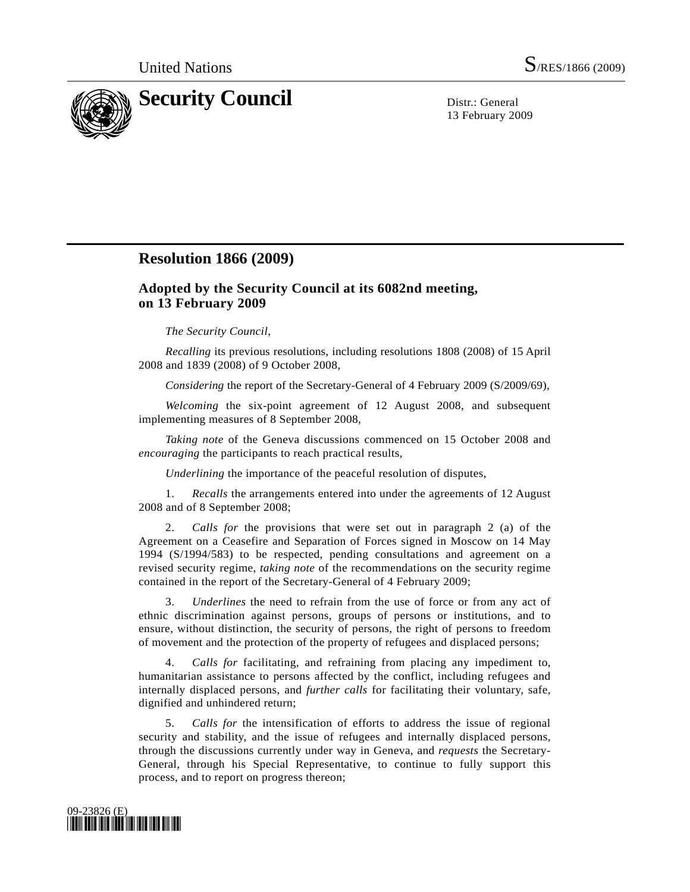

13 February 2009

## **Resolution 1866 (2009)**

## **Adopted by the Security Council at its 6082nd meeting, on 13 February 2009**

## *The Security Council*,

*Recalling* its previous resolutions, including resolutions 1808 (2008) of 15 April 2008 and 1839 (2008) of 9 October 2008,

*Considering* the report of the Secretary-General of 4 February 2009 (S/2009/69),

*Welcoming* the six-point agreement of 12 August 2008, and subsequent implementing measures of 8 September 2008,

*Taking note* of the Geneva discussions commenced on 15 October 2008 and *encouraging* the participants to reach practical results,

*Underlining* the importance of the peaceful resolution of disputes,

 1. *Recalls* the arrangements entered into under the agreements of 12 August 2008 and of 8 September 2008;

 2. *Calls for* the provisions that were set out in paragraph 2 (a) of the Agreement on a Ceasefire and Separation of Forces signed in Moscow on 14 May 1994 (S/1994/583) to be respected, pending consultations and agreement on a revised security regime, *taking note* of the recommendations on the security regime contained in the report of the Secretary-General of 4 February 2009;

 3. *Underlines* the need to refrain from the use of force or from any act of ethnic discrimination against persons, groups of persons or institutions, and to ensure, without distinction, the security of persons, the right of persons to freedom of movement and the protection of the property of refugees and displaced persons;

 4. *Calls for* facilitating, and refraining from placing any impediment to, humanitarian assistance to persons affected by the conflict, including refugees and internally displaced persons, and *further calls* for facilitating their voluntary, safe, dignified and unhindered return;

 5. *Calls for* the intensification of efforts to address the issue of regional security and stability, and the issue of refugees and internally displaced persons, through the discussions currently under way in Geneva, and *requests* the Secretary-General, through his Special Representative, to continue to fully support this process, and to report on progress thereon;